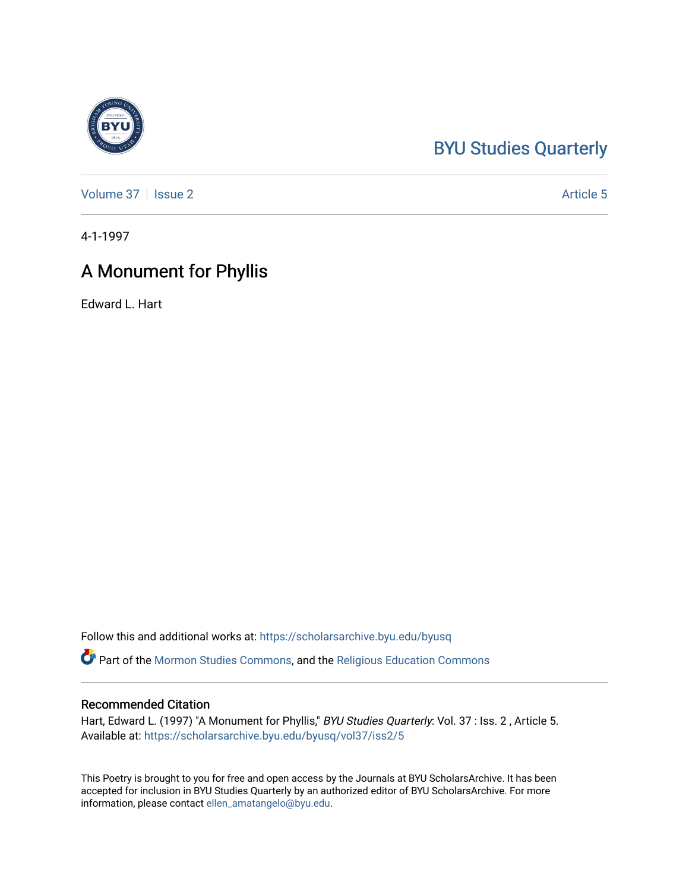## [BYU Studies Quarterly](https://scholarsarchive.byu.edu/byusq)

[Volume 37](https://scholarsarchive.byu.edu/byusq/vol37) | [Issue 2](https://scholarsarchive.byu.edu/byusq/vol37/iss2) Article 5

4-1-1997

## A Monument for Phyllis

Edward L. Hart

Follow this and additional works at: [https://scholarsarchive.byu.edu/byusq](https://scholarsarchive.byu.edu/byusq?utm_source=scholarsarchive.byu.edu%2Fbyusq%2Fvol37%2Fiss2%2F5&utm_medium=PDF&utm_campaign=PDFCoverPages) 

Part of the [Mormon Studies Commons](http://network.bepress.com/hgg/discipline/1360?utm_source=scholarsarchive.byu.edu%2Fbyusq%2Fvol37%2Fiss2%2F5&utm_medium=PDF&utm_campaign=PDFCoverPages), and the [Religious Education Commons](http://network.bepress.com/hgg/discipline/1414?utm_source=scholarsarchive.byu.edu%2Fbyusq%2Fvol37%2Fiss2%2F5&utm_medium=PDF&utm_campaign=PDFCoverPages) 

## Recommended Citation

Hart, Edward L. (1997) "A Monument for Phyllis," BYU Studies Quarterly: Vol. 37 : Iss. 2, Article 5. Available at: [https://scholarsarchive.byu.edu/byusq/vol37/iss2/5](https://scholarsarchive.byu.edu/byusq/vol37/iss2/5?utm_source=scholarsarchive.byu.edu%2Fbyusq%2Fvol37%2Fiss2%2F5&utm_medium=PDF&utm_campaign=PDFCoverPages)

This Poetry is brought to you for free and open access by the Journals at BYU ScholarsArchive. It has been accepted for inclusion in BYU Studies Quarterly by an authorized editor of BYU ScholarsArchive. For more information, please contact [ellen\\_amatangelo@byu.edu.](mailto:ellen_amatangelo@byu.edu)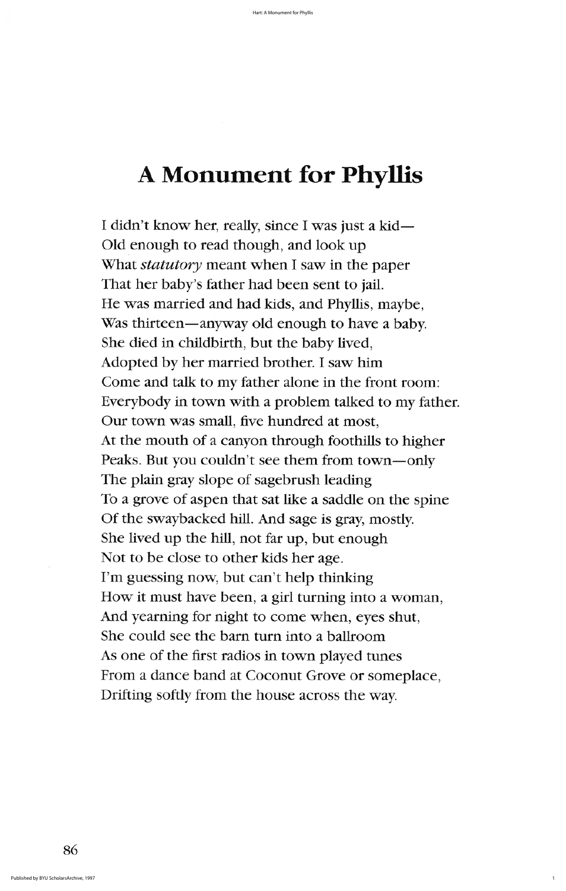## A Monument for Phyllis

I didn't know her, really, since I was just a kid— Old enough to read though, and look up What *statutory* meant when I saw in the paper That her baby's father had been sent to jail. He was married and had kids, and Phyllis, maybe, Was thirteen—anyway old enough to have a baby. She died in childbirth, but the baby lived, Adopted by her married brother. I saw him Come and talk to my father alone in the front room: Everybody in town with a problem talked to my father. Our town was small, five hundred at most, At the mouth of a canyon through foothills to higher Peaks. But you couldn't see them from town—only The plain gray slope of sagebrush leading To a grove of aspen that sat like a saddle on the spine Of the swaybacked hill. And sage is gray, mostly. She lived up the hill, not far up, but enough Not to be close to other kids her age. I'm guessing now, but can't help thinking How it must have been, a girl turning into a woman, And yearning for night to come when, eyes shut, She could see the barn turn into a ballroom As one of the first radios in town played tunes From a dance band at Coconut Grove or someplace, Drifting softly from the house across the way.